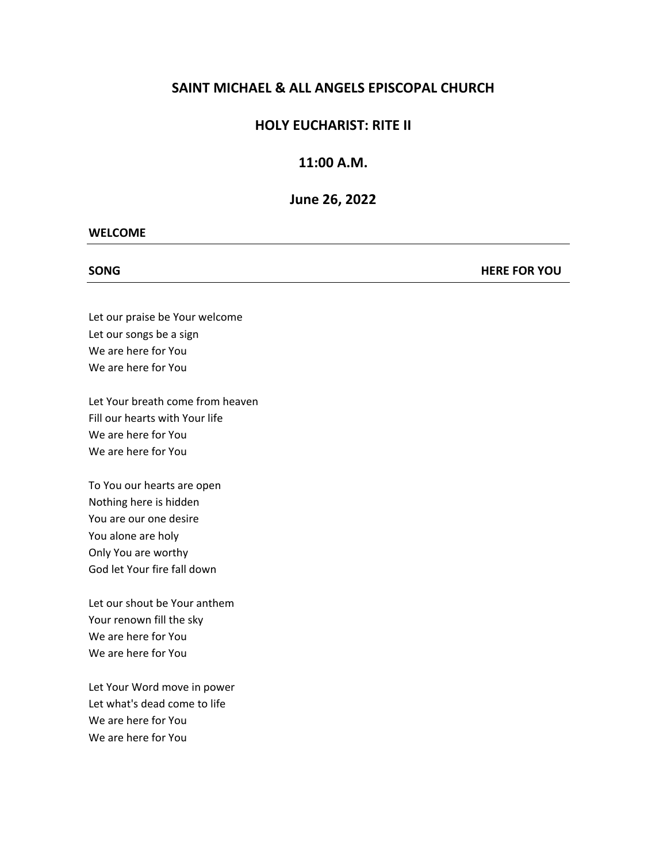# **SAINT MICHAEL & ALL ANGELS EPISCOPAL CHURCH**

# **HOLY EUCHARIST: RITE II**

# **11:00 A.M.**

**June 26, 2022** 

### **WELCOME**

**SONG HERE FOR YOU** 

Let our praise be Your welcome Let our songs be a sign We are here for You We are here for You

Let Your breath come from heaven Fill our hearts with Your life We are here for You We are here for You

To You our hearts are open Nothing here is hidden You are our one desire You alone are holy Only You are worthy God let Your fire fall down

Let our shout be Your anthem Your renown fill the sky We are here for You We are here for You

Let Your Word move in power Let what's dead come to life We are here for You We are here for You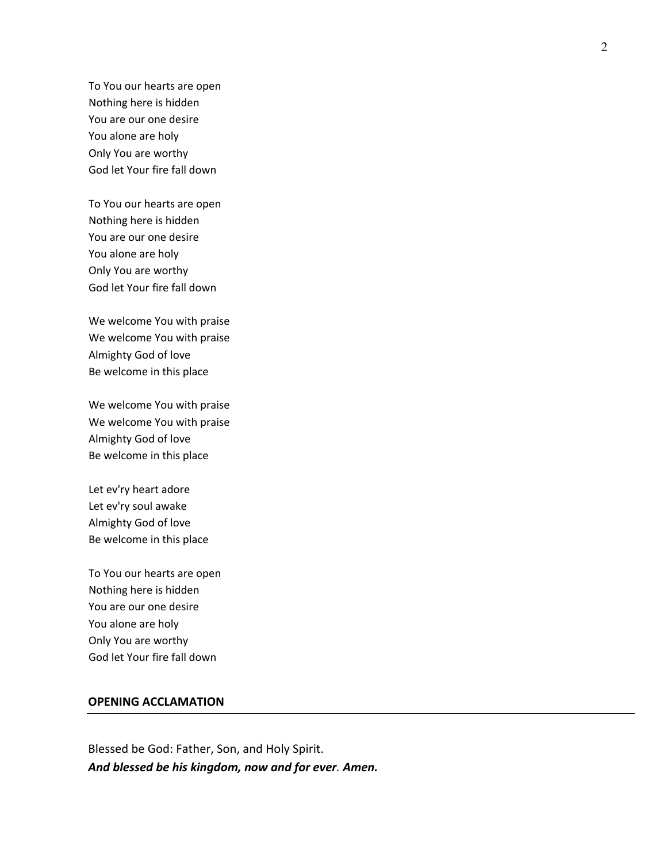To You our hearts are open Nothing here is hidden You are our one desire You alone are holy Only You are worthy God let Your fire fall down

To You our hearts are open Nothing here is hidden You are our one desire You alone are holy Only You are worthy God let Your fire fall down

We welcome You with praise We welcome You with praise Almighty God of love Be welcome in this place

We welcome You with praise We welcome You with praise Almighty God of love Be welcome in this place

Let ev'ry heart adore Let ev'ry soul awake Almighty God of love Be welcome in this place

To You our hearts are open Nothing here is hidden You are our one desire You alone are holy Only You are worthy God let Your fire fall down

# **OPENING ACCLAMATION**

Blessed be God: Father, Son, and Holy Spirit. *And blessed be his kingdom, now and for ever. Amen.*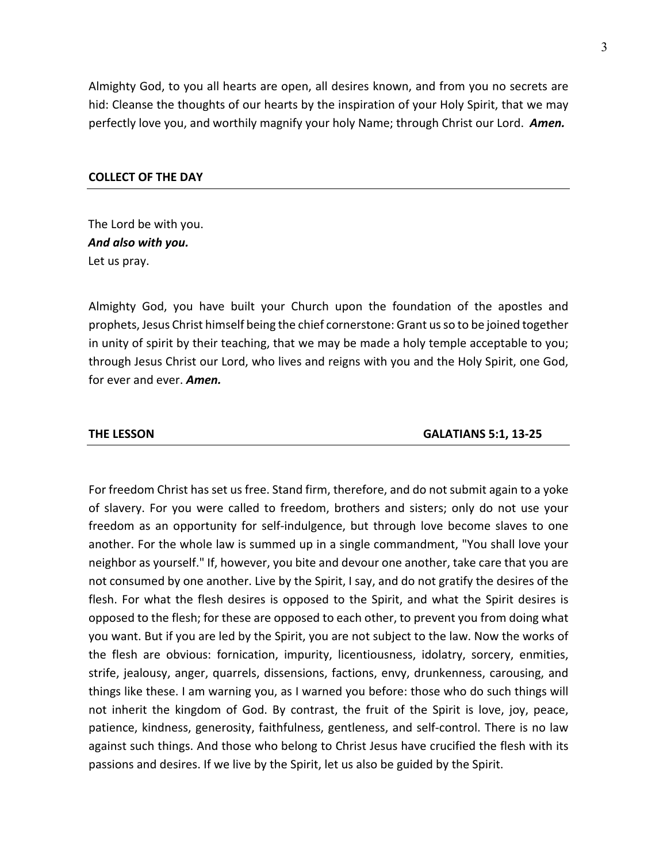Almighty God, to you all hearts are open, all desires known, and from you no secrets are hid: Cleanse the thoughts of our hearts by the inspiration of your Holy Spirit, that we may perfectly love you, and worthily magnify your holy Name; through Christ our Lord. *Amen.*

## **COLLECT OF THE DAY**

The Lord be with you. *And also with you.* Let us pray.

Almighty God, you have built your Church upon the foundation of the apostles and prophets, Jesus Christ himself being the chief cornerstone: Grant us so to be joined together in unity of spirit by their teaching, that we may be made a holy temple acceptable to you; through Jesus Christ our Lord, who lives and reigns with you and the Holy Spirit, one God, for ever and ever. *Amen.* 

### **THE LESSON GALATIANS 5:1, 13-25**

For freedom Christ has set us free. Stand firm, therefore, and do not submit again to a yoke of slavery. For you were called to freedom, brothers and sisters; only do not use your freedom as an opportunity for self-indulgence, but through love become slaves to one another. For the whole law is summed up in a single commandment, "You shall love your neighbor as yourself." If, however, you bite and devour one another, take care that you are not consumed by one another. Live by the Spirit, I say, and do not gratify the desires of the flesh. For what the flesh desires is opposed to the Spirit, and what the Spirit desires is opposed to the flesh; for these are opposed to each other, to prevent you from doing what you want. But if you are led by the Spirit, you are not subject to the law. Now the works of the flesh are obvious: fornication, impurity, licentiousness, idolatry, sorcery, enmities, strife, jealousy, anger, quarrels, dissensions, factions, envy, drunkenness, carousing, and things like these. I am warning you, as I warned you before: those who do such things will not inherit the kingdom of God. By contrast, the fruit of the Spirit is love, joy, peace, patience, kindness, generosity, faithfulness, gentleness, and self-control. There is no law against such things. And those who belong to Christ Jesus have crucified the flesh with its passions and desires. If we live by the Spirit, let us also be guided by the Spirit.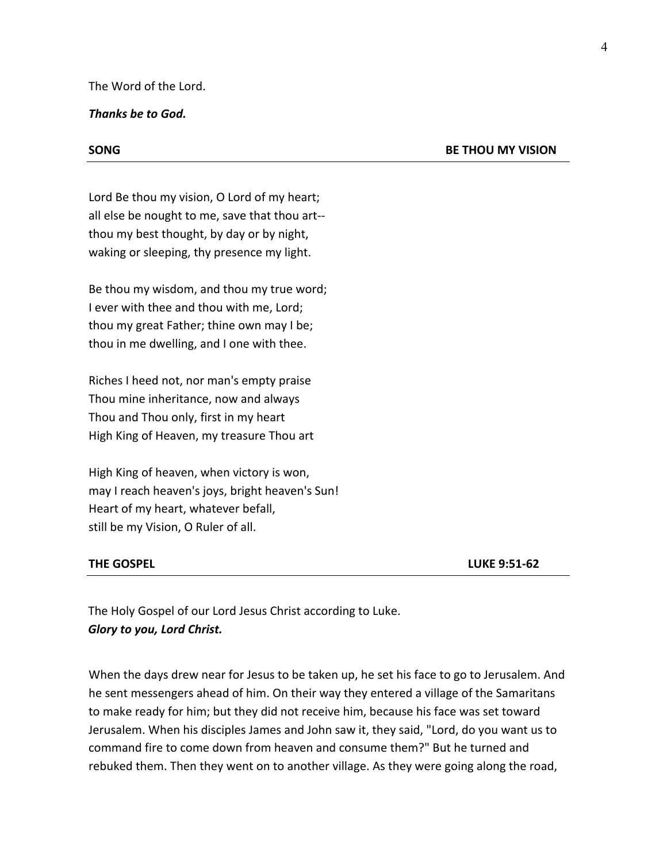The Word of the Lord.

*Thanks be to God.*

**SONG** BE THOU MY VISION

Lord Be thou my vision, O Lord of my heart; all else be nought to me, save that thou art- thou my best thought, by day or by night, waking or sleeping, thy presence my light.

Be thou my wisdom, and thou my true word; I ever with thee and thou with me, Lord; thou my great Father; thine own may I be; thou in me dwelling, and I one with thee.

Riches I heed not, nor man's empty praise Thou mine inheritance, now and always Thou and Thou only, first in my heart High King of Heaven, my treasure Thou art

High King of heaven, when victory is won, may I reach heaven's joys, bright heaven's Sun! Heart of my heart, whatever befall, still be my Vision, O Ruler of all.

### **THE GOSPEL LUKE 9:51-62**

The Holy Gospel of our Lord Jesus Christ according to Luke. *Glory to you, Lord Christ.*

When the days drew near for Jesus to be taken up, he set his face to go to Jerusalem. And he sent messengers ahead of him. On their way they entered a village of the Samaritans to make ready for him; but they did not receive him, because his face was set toward Jerusalem. When his disciples James and John saw it, they said, "Lord, do you want us to command fire to come down from heaven and consume them?" But he turned and rebuked them. Then they went on to another village. As they were going along the road,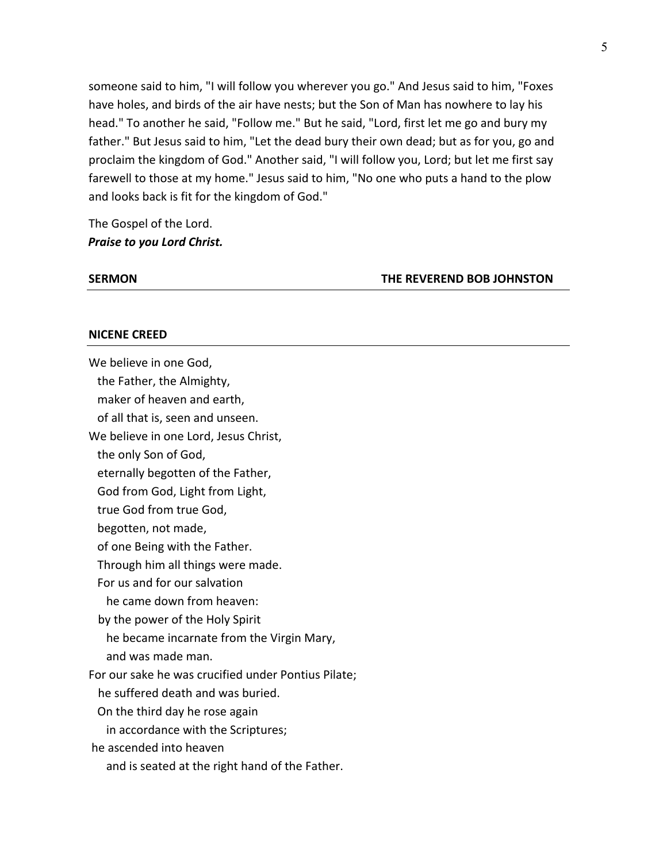someone said to him, "I will follow you wherever you go." And Jesus said to him, "Foxes have holes, and birds of the air have nests; but the Son of Man has nowhere to lay his head." To another he said, "Follow me." But he said, "Lord, first let me go and bury my father." But Jesus said to him, "Let the dead bury their own dead; but as for you, go and proclaim the kingdom of God." Another said, "I will follow you, Lord; but let me first say farewell to those at my home." Jesus said to him, "No one who puts a hand to the plow and looks back is fit for the kingdom of God."

The Gospel of the Lord. *Praise to you Lord Christ.* 

### **SERMON THE REVEREND BOB JOHNSTON**

### **NICENE CREED**

We believe in one God, the Father, the Almighty, maker of heaven and earth, of all that is, seen and unseen. We believe in one Lord, Jesus Christ, the only Son of God, eternally begotten of the Father, God from God, Light from Light, true God from true God, begotten, not made, of one Being with the Father. Through him all things were made. For us and for our salvation he came down from heaven: by the power of the Holy Spirit he became incarnate from the Virgin Mary, and was made man. For our sake he was crucified under Pontius Pilate; he suffered death and was buried. On the third day he rose again in accordance with the Scriptures; he ascended into heaven and is seated at the right hand of the Father.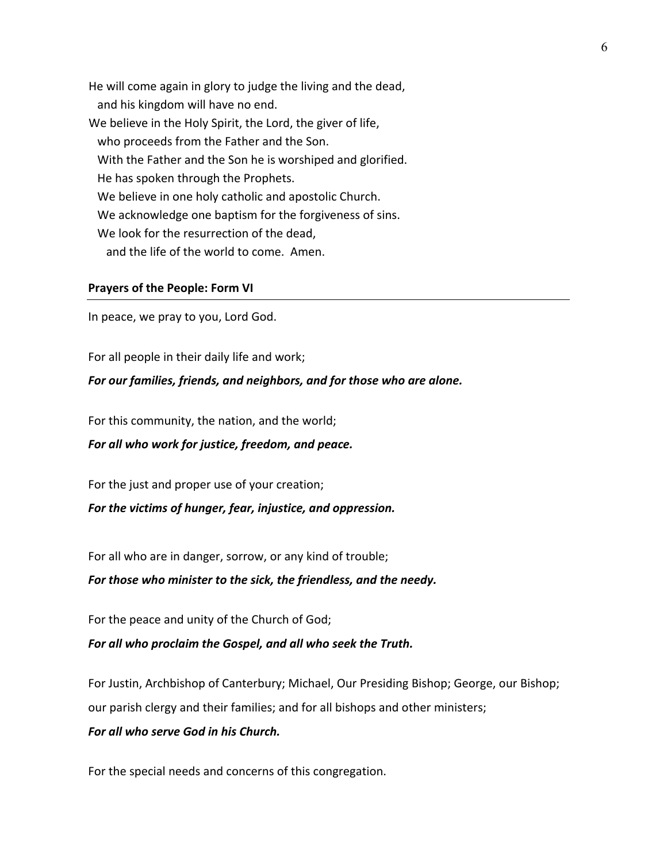He will come again in glory to judge the living and the dead, and his kingdom will have no end. We believe in the Holy Spirit, the Lord, the giver of life, who proceeds from the Father and the Son. With the Father and the Son he is worshiped and glorified. He has spoken through the Prophets. We believe in one holy catholic and apostolic Church. We acknowledge one baptism for the forgiveness of sins. We look for the resurrection of the dead, and the life of the world to come. Amen.

# **Prayers of the People: Form VI**

In peace, we pray to you, Lord God.

For all people in their daily life and work;

### *For our families, friends, and neighbors, and for those who are alone.*

For this community, the nation, and the world;

*For all who work for justice, freedom, and peace.*

For the just and proper use of your creation;

*For the victims of hunger, fear, injustice, and oppression.*

For all who are in danger, sorrow, or any kind of trouble;

*For those who minister to the sick, the friendless, and the needy.*

For the peace and unity of the Church of God;

*For all who proclaim the Gospel, and all who seek the Truth.*

For Justin, Archbishop of Canterbury; Michael, Our Presiding Bishop; George, our Bishop; our parish clergy and their families; and for all bishops and other ministers; *For all who serve God in his Church.*

For the special needs and concerns of this congregation.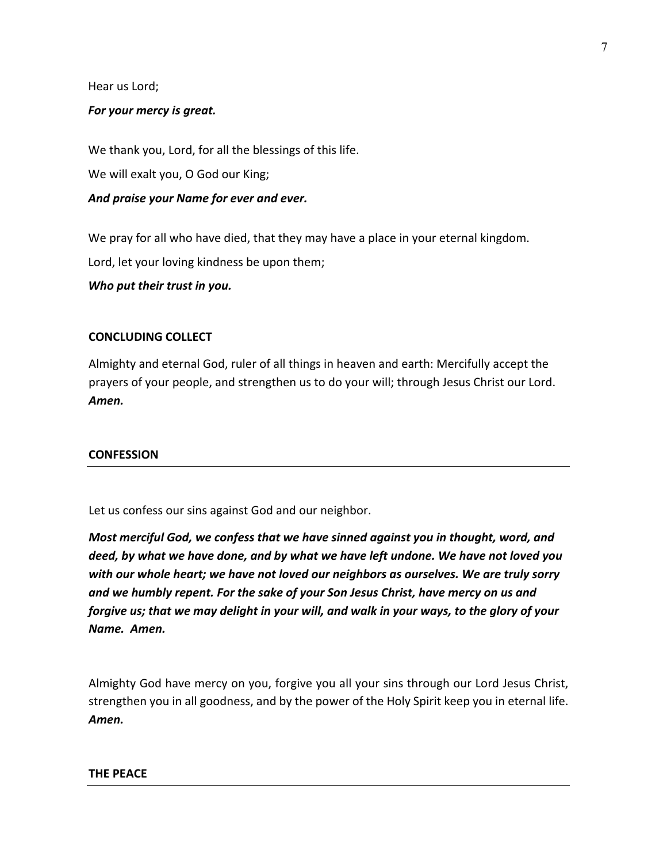Hear us Lord;

# *For your mercy is great.*

We thank you, Lord, for all the blessings of this life.

We will exalt you, O God our King;

# *And praise your Name for ever and ever.*

We pray for all who have died, that they may have a place in your eternal kingdom.

Lord, let your loving kindness be upon them;

*Who put their trust in you.*

# **CONCLUDING COLLECT**

Almighty and eternal God, ruler of all things in heaven and earth: Mercifully accept the prayers of your people, and strengthen us to do your will; through Jesus Christ our Lord. *Amen.*

# **CONFESSION**

Let us confess our sins against God and our neighbor.

*Most merciful God, we confess that we have sinned against you in thought, word, and deed, by what we have done, and by what we have left undone. We have not loved you with our whole heart; we have not loved our neighbors as ourselves. We are truly sorry and we humbly repent. For the sake of your Son Jesus Christ, have mercy on us and forgive us; that we may delight in your will, and walk in your ways, to the glory of your Name. Amen.*

Almighty God have mercy on you, forgive you all your sins through our Lord Jesus Christ, strengthen you in all goodness, and by the power of the Holy Spirit keep you in eternal life. *Amen.*

## **THE PEACE**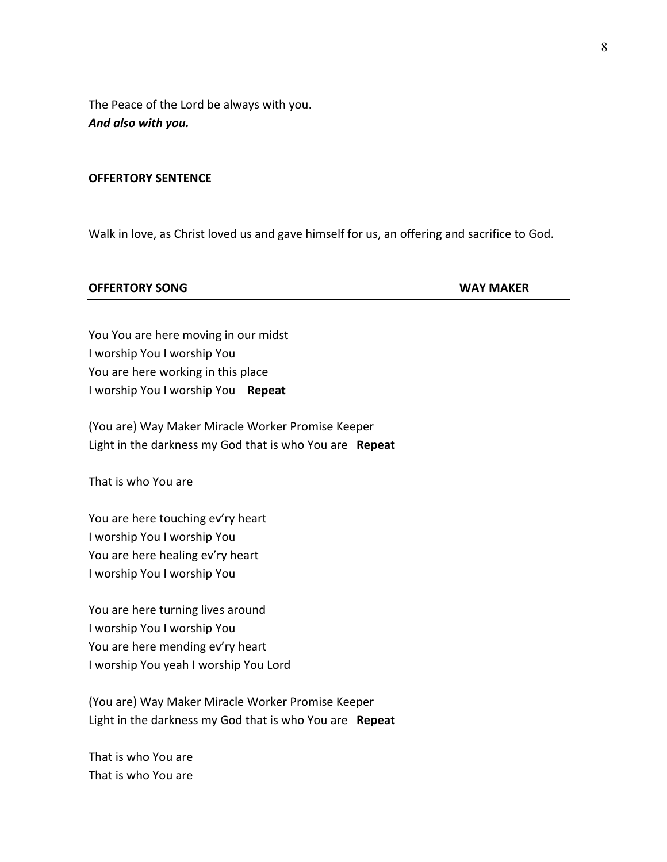The Peace of the Lord be always with you. *And also with you.*

## **OFFERTORY SENTENCE**

Walk in love, as Christ loved us and gave himself for us, an offering and sacrifice to God.

## **OFFERTORY SONG WAY MAKER**

You You are here moving in our midst I worship You I worship You You are here working in this place I worship You I worship You **Repeat**

(You are) Way Maker Miracle Worker Promise Keeper Light in the darkness my God that is who You are **Repeat**

That is who You are

You are here touching ev'ry heart I worship You I worship You You are here healing ev'ry heart I worship You I worship You

You are here turning lives around I worship You I worship You You are here mending ev'ry heart I worship You yeah I worship You Lord

(You are) Way Maker Miracle Worker Promise Keeper Light in the darkness my God that is who You are **Repeat**

That is who You are That is who You are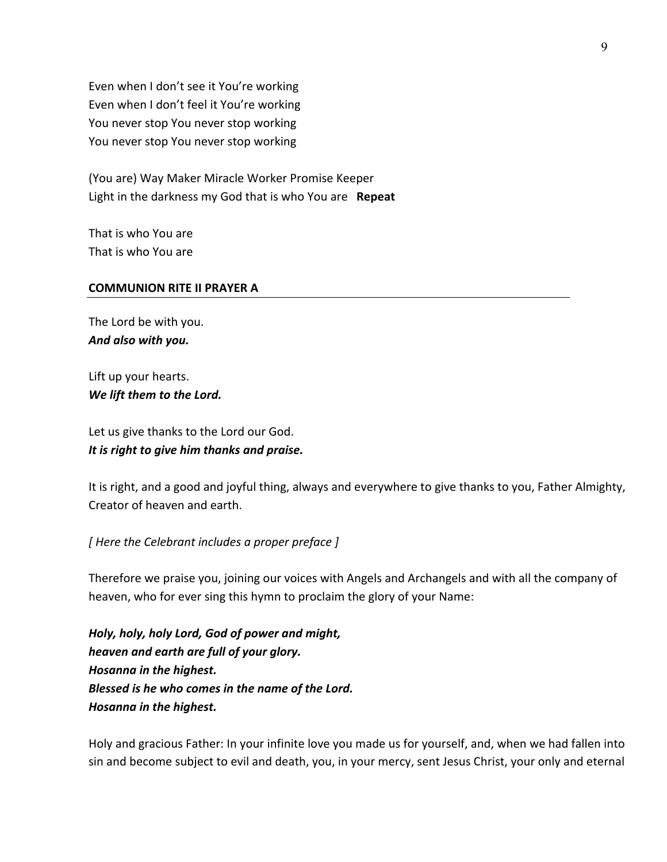Even when I don't see it You're working Even when I don't feel it You're working You never stop You never stop working You never stop You never stop working

(You are) Way Maker Miracle Worker Promise Keeper Light in the darkness my God that is who You are **Repeat**

That is who You are That is who You are

## **COMMUNION RITE II PRAYER A**

The Lord be with you. *And also with you.*

Lift up your hearts. *We lift them to the Lord.*

Let us give thanks to the Lord our God. *It is right to give him thanks and praise.*

It is right, and a good and joyful thing, always and everywhere to give thanks to you, Father Almighty, Creator of heaven and earth.

*[ Here the Celebrant includes a proper preface ]*

Therefore we praise you, joining our voices with Angels and Archangels and with all the company of heaven, who for ever sing this hymn to proclaim the glory of your Name:

*Holy, holy, holy Lord, God of power and might, heaven and earth are full of your glory. Hosanna in the highest. Blessed is he who comes in the name of the Lord. Hosanna in the highest.*

Holy and gracious Father: In your infinite love you made us for yourself, and, when we had fallen into sin and become subject to evil and death, you, in your mercy, sent Jesus Christ, your only and eternal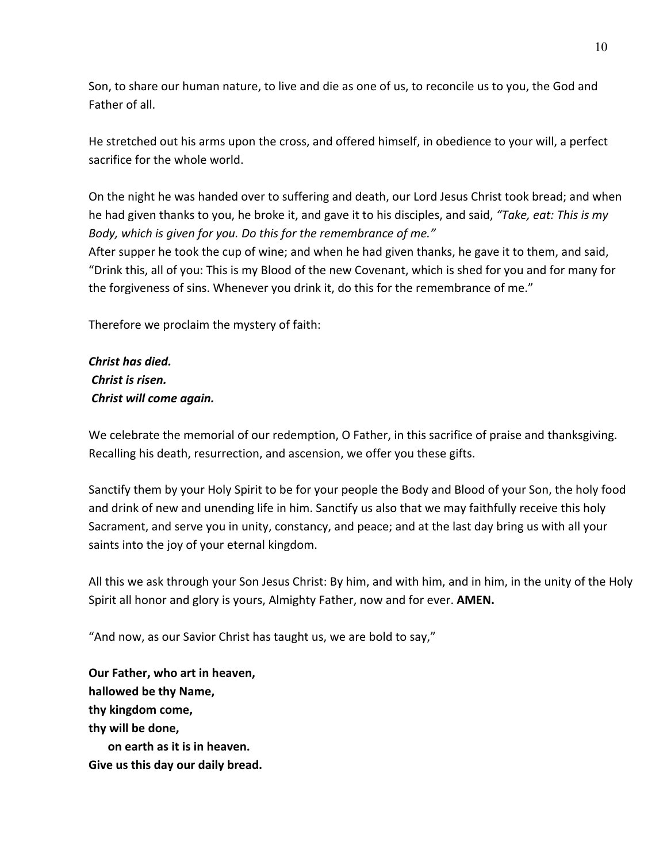Son, to share our human nature, to live and die as one of us, to reconcile us to you, the God and Father of all.

He stretched out his arms upon the cross, and offered himself, in obedience to your will, a perfect sacrifice for the whole world.

On the night he was handed over to suffering and death, our Lord Jesus Christ took bread; and when he had given thanks to you, he broke it, and gave it to his disciples, and said, *"Take, eat: This is my Body, which is given for you. Do this for the remembrance of me."*

After supper he took the cup of wine; and when he had given thanks, he gave it to them, and said, "Drink this, all of you: This is my Blood of the new Covenant, which is shed for you and for many for the forgiveness of sins. Whenever you drink it, do this for the remembrance of me."

Therefore we proclaim the mystery of faith:

*Christ has died. Christ is risen. Christ will come again.*

We celebrate the memorial of our redemption, O Father, in this sacrifice of praise and thanksgiving. Recalling his death, resurrection, and ascension, we offer you these gifts.

Sanctify them by your Holy Spirit to be for your people the Body and Blood of your Son, the holy food and drink of new and unending life in him. Sanctify us also that we may faithfully receive this holy Sacrament, and serve you in unity, constancy, and peace; and at the last day bring us with all your saints into the joy of your eternal kingdom.

All this we ask through your Son Jesus Christ: By him, and with him, and in him, in the unity of the Holy Spirit all honor and glory is yours, Almighty Father, now and for ever. **AMEN.**

"And now, as our Savior Christ has taught us, we are bold to say,"

**Our Father, who art in heaven, hallowed be thy Name, thy kingdom come, thy will be done, on earth as it is in heaven. Give us this day our daily bread.**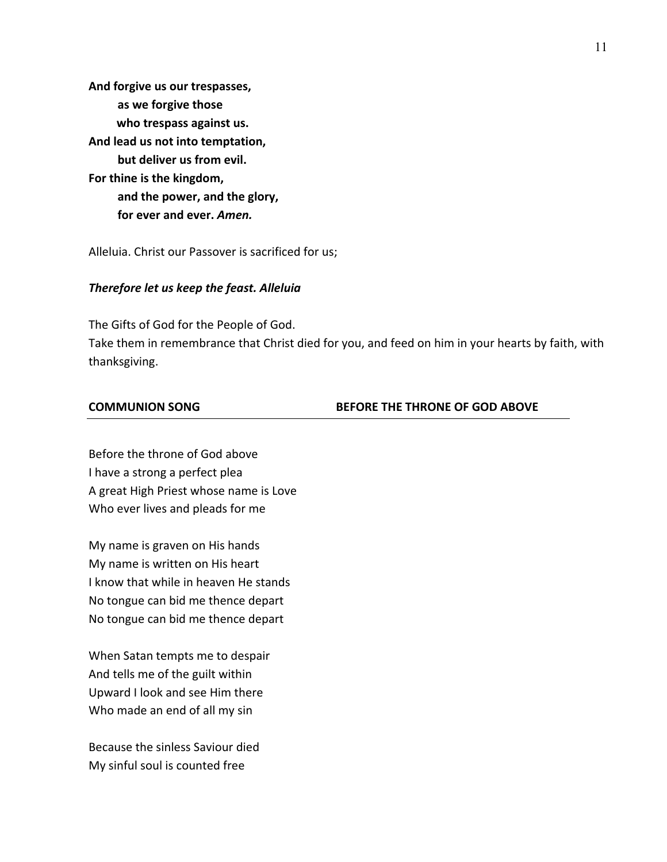**And forgive us our trespasses, as we forgive those who trespass against us. And lead us not into temptation, but deliver us from evil. For thine is the kingdom, and the power, and the glory, for ever and ever.** *Amen.*

Alleluia. Christ our Passover is sacrificed for us;

## *Therefore let us keep the feast. Alleluia*

The Gifts of God for the People of God.

Take them in remembrance that Christ died for you, and feed on him in your hearts by faith, with thanksgiving.

# **COMMUNION SONG BEFORE THE THRONE OF GOD ABOVE**

Before the throne of God above I have a strong a perfect plea A great High Priest whose name is Love Who ever lives and pleads for me

My name is graven on His hands My name is written on His heart I know that while in heaven He stands No tongue can bid me thence depart No tongue can bid me thence depart

When Satan tempts me to despair And tells me of the guilt within Upward I look and see Him there Who made an end of all my sin

Because the sinless Saviour died My sinful soul is counted free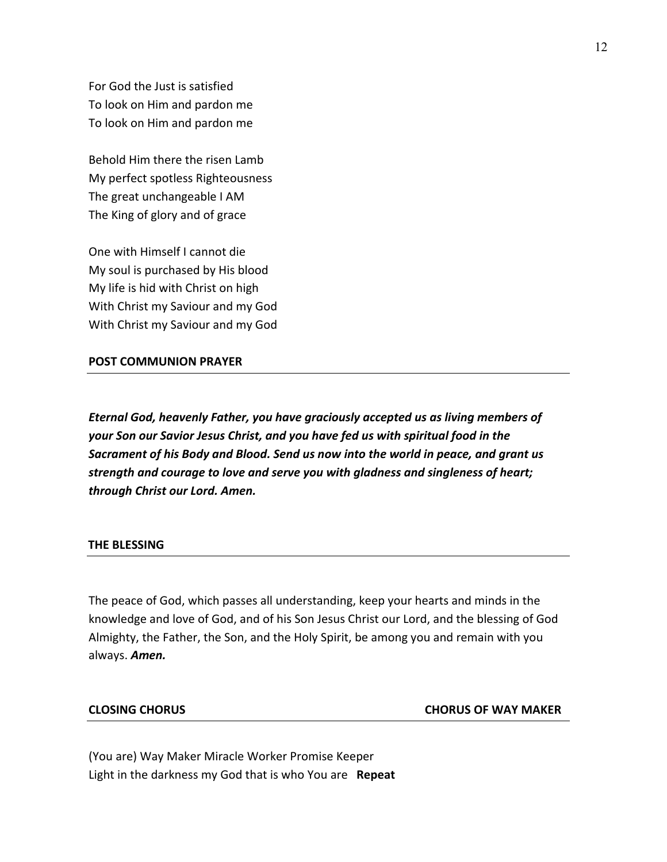For God the Just is satisfied To look on Him and pardon me To look on Him and pardon me

Behold Him there the risen Lamb My perfect spotless Righteousness The great unchangeable I AM The King of glory and of grace

One with Himself I cannot die My soul is purchased by His blood My life is hid with Christ on high With Christ my Saviour and my God With Christ my Saviour and my God

# **POST COMMUNION PRAYER**

*Eternal God, heavenly Father, you have graciously accepted us as living members of your Son our Savior Jesus Christ, and you have fed us with spiritual food in the Sacrament of his Body and Blood. Send us now into the world in peace, and grant us strength and courage to love and serve you with gladness and singleness of heart; through Christ our Lord. Amen.*

## **THE BLESSING**

The peace of God, which passes all understanding, keep your hearts and minds in the knowledge and love of God, and of his Son Jesus Christ our Lord, and the blessing of God Almighty, the Father, the Son, and the Holy Spirit, be among you and remain with you always. *Amen.*

**CLOSING CHORUS CHORUS OF WAY MAKER**

(You are) Way Maker Miracle Worker Promise Keeper Light in the darkness my God that is who You are **Repeat**